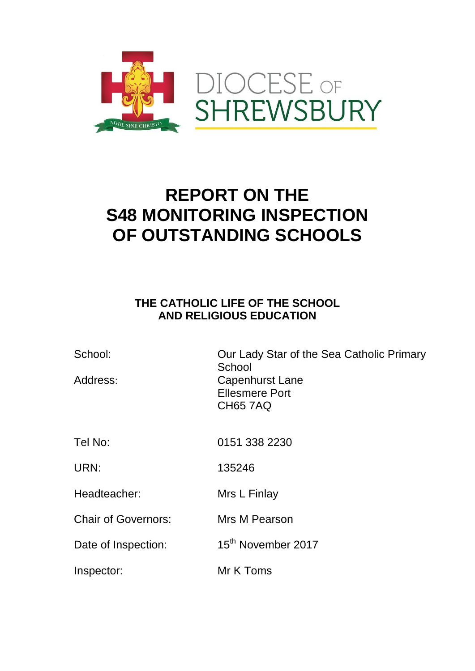

## **REPORT ON THE S48 MONITORING INSPECTION OF OUTSTANDING SCHOOLS**

## **THE CATHOLIC LIFE OF THE SCHOOL AND RELIGIOUS EDUCATION**

| School:<br>Address:        | Our Lady Star of the Sea Catholic Primary<br>School<br>Capenhurst Lane<br><b>Ellesmere Port</b><br><b>CH65 7AQ</b> |
|----------------------------|--------------------------------------------------------------------------------------------------------------------|
| Tel No:                    | 0151 338 2230                                                                                                      |
| URN:                       | 135246                                                                                                             |
| Headteacher:               | Mrs L Finlay                                                                                                       |
| <b>Chair of Governors:</b> | Mrs M Pearson                                                                                                      |
| Date of Inspection:        | 15 <sup>th</sup> November 2017                                                                                     |
| Inspector:                 | Mr K Toms                                                                                                          |